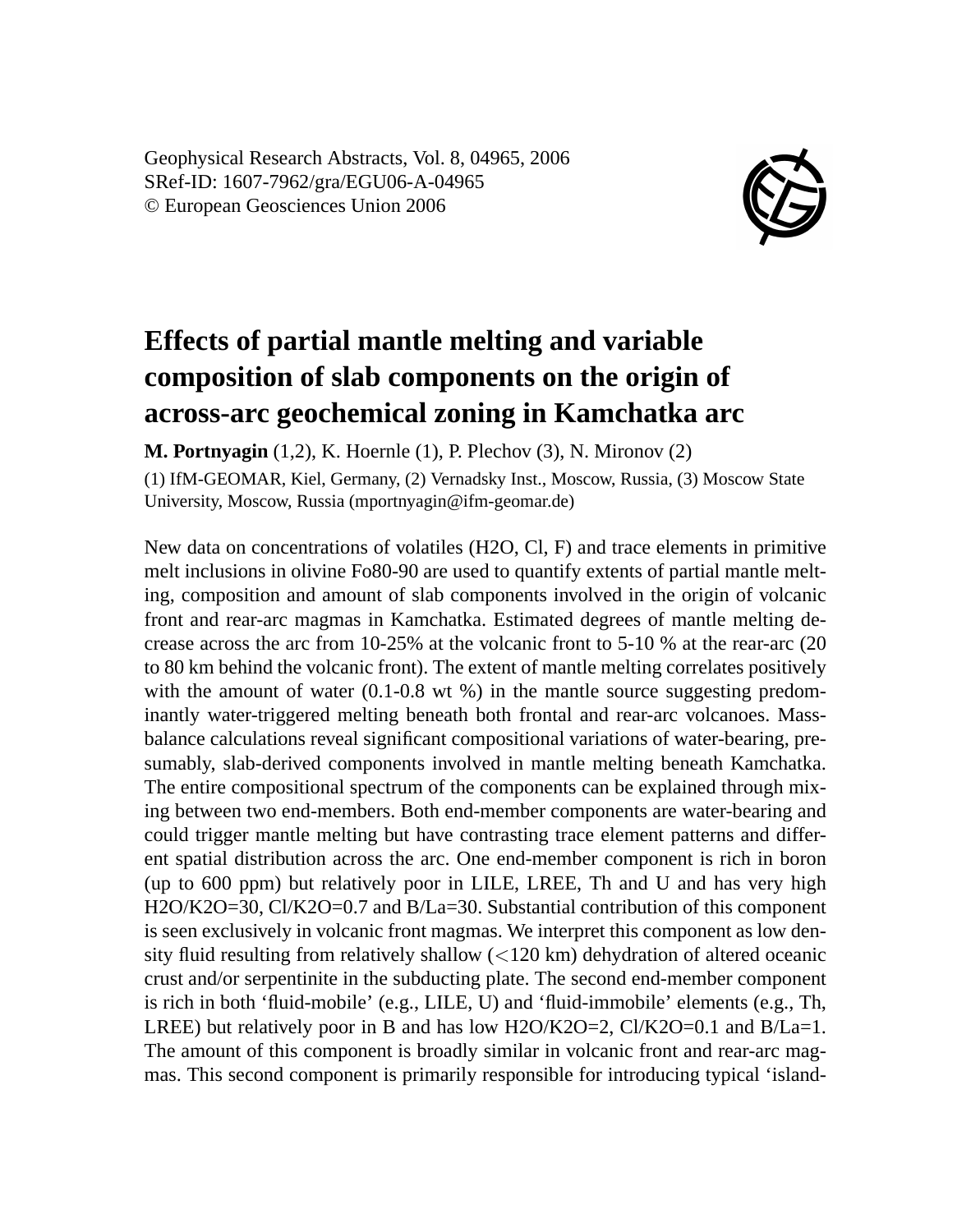Geophysical Research Abstracts, Vol. 8, 04965, 2006 SRef-ID: 1607-7962/gra/EGU06-A-04965 © European Geosciences Union 2006



## **Effects of partial mantle melting and variable composition of slab components on the origin of across-arc geochemical zoning in Kamchatka arc**

**M. Portnyagin** (1,2), K. Hoernle (1), P. Plechov (3), N. Mironov (2)

(1) IfM-GEOMAR, Kiel, Germany, (2) Vernadsky Inst., Moscow, Russia, (3) Moscow State University, Moscow, Russia (mportnyagin@ifm-geomar.de)

New data on concentrations of volatiles (H2O, Cl, F) and trace elements in primitive melt inclusions in olivine Fo80-90 are used to quantify extents of partial mantle melting, composition and amount of slab components involved in the origin of volcanic front and rear-arc magmas in Kamchatka. Estimated degrees of mantle melting decrease across the arc from 10-25% at the volcanic front to 5-10 % at the rear-arc (20 to 80 km behind the volcanic front). The extent of mantle melting correlates positively with the amount of water (0.1-0.8 wt %) in the mantle source suggesting predominantly water-triggered melting beneath both frontal and rear-arc volcanoes. Massbalance calculations reveal significant compositional variations of water-bearing, presumably, slab-derived components involved in mantle melting beneath Kamchatka. The entire compositional spectrum of the components can be explained through mixing between two end-members. Both end-member components are water-bearing and could trigger mantle melting but have contrasting trace element patterns and different spatial distribution across the arc. One end-member component is rich in boron (up to 600 ppm) but relatively poor in LILE, LREE, Th and U and has very high H2O/K2O=30, Cl/K2O=0.7 and B/La=30. Substantial contribution of this component is seen exclusively in volcanic front magmas. We interpret this component as low density fluid resulting from relatively shallow (<120 km) dehydration of altered oceanic crust and/or serpentinite in the subducting plate. The second end-member component is rich in both 'fluid-mobile' (e.g., LILE, U) and 'fluid-immobile' elements (e.g., Th, LREE) but relatively poor in B and has low  $H2O/K2O=2$ ,  $Cl/K2O=0.1$  and  $B/La=1$ . The amount of this component is broadly similar in volcanic front and rear-arc magmas. This second component is primarily responsible for introducing typical 'island-